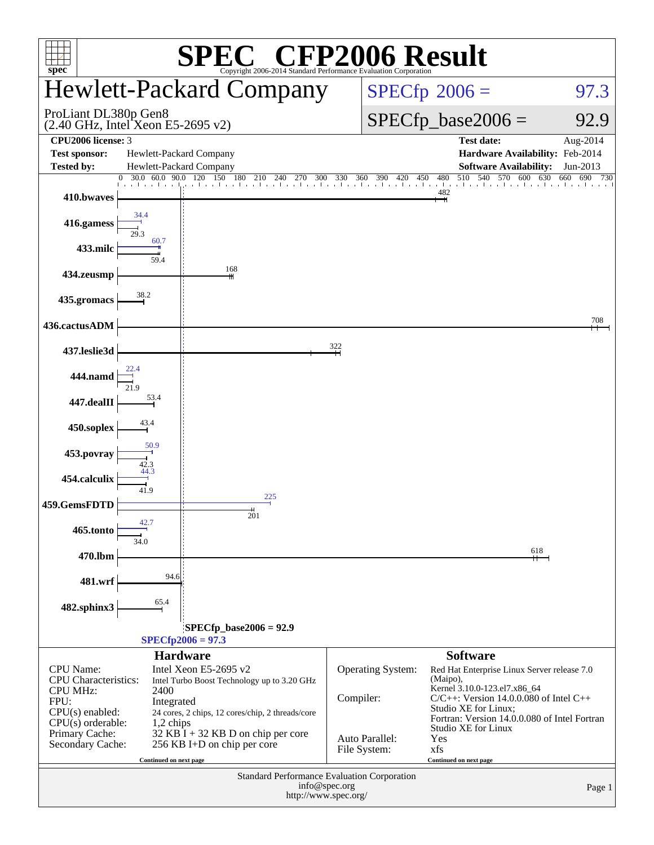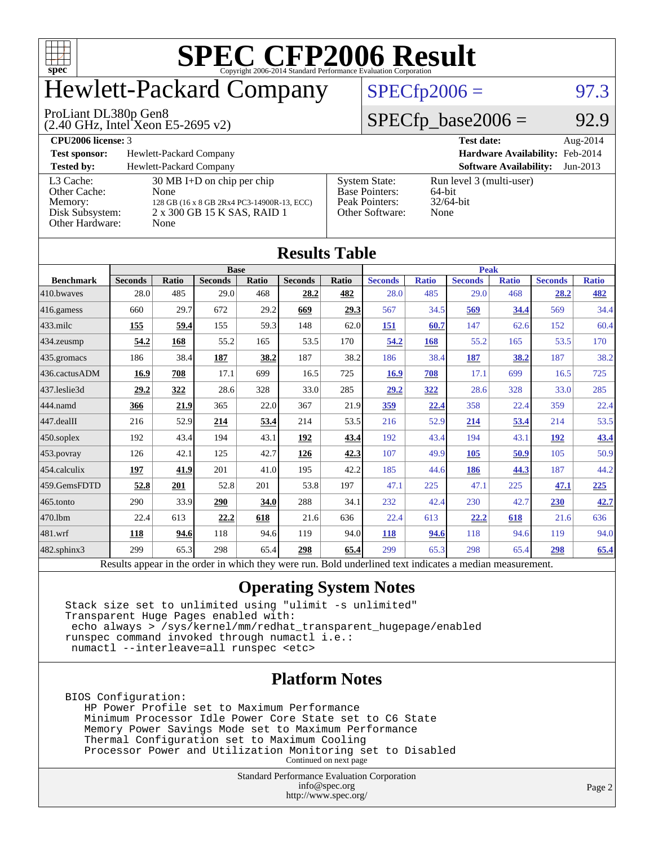

## Hewlett-Packard Company

#### ProLiant DL380p Gen8

(2.40 GHz, Intel Xeon E5-2695 v2)

### $SPECTp2006 = 97.3$

### $SPECfp\_base2006 = 92.9$

**[CPU2006 license:](http://www.spec.org/auto/cpu2006/Docs/result-fields.html#CPU2006license)** 3 **[Test date:](http://www.spec.org/auto/cpu2006/Docs/result-fields.html#Testdate)** Aug-2014 **[Test sponsor:](http://www.spec.org/auto/cpu2006/Docs/result-fields.html#Testsponsor)** Hewlett-Packard Company **[Hardware Availability:](http://www.spec.org/auto/cpu2006/Docs/result-fields.html#HardwareAvailability)** Feb-2014 **[Tested by:](http://www.spec.org/auto/cpu2006/Docs/result-fields.html#Testedby)** Hewlett-Packard Company **[Software Availability:](http://www.spec.org/auto/cpu2006/Docs/result-fields.html#SoftwareAvailability)** Jun-2013 [L3 Cache:](http://www.spec.org/auto/cpu2006/Docs/result-fields.html#L3Cache) 30 MB I+D on chip per chip<br>Other Cache: None [Other Cache:](http://www.spec.org/auto/cpu2006/Docs/result-fields.html#OtherCache) [Memory:](http://www.spec.org/auto/cpu2006/Docs/result-fields.html#Memory) 128 GB (16 x 8 GB 2Rx4 PC3-14900R-13, ECC) [Disk Subsystem:](http://www.spec.org/auto/cpu2006/Docs/result-fields.html#DiskSubsystem) 2 x 300 GB 15 K SAS, RAID 1 [Other Hardware:](http://www.spec.org/auto/cpu2006/Docs/result-fields.html#OtherHardware) None [System State:](http://www.spec.org/auto/cpu2006/Docs/result-fields.html#SystemState) Run level 3 (multi-user)<br>Base Pointers: 64-bit [Base Pointers:](http://www.spec.org/auto/cpu2006/Docs/result-fields.html#BasePointers) 64-bit<br>Peak Pointers: 32/64-bit [Peak Pointers:](http://www.spec.org/auto/cpu2006/Docs/result-fields.html#PeakPointers) 32/64<br>Other Software: None [Other Software:](http://www.spec.org/auto/cpu2006/Docs/result-fields.html#OtherSoftware)

| <b>Results Table</b>   |                                                                                                          |       |                |       |                |       |                |              |                |              |                |              |
|------------------------|----------------------------------------------------------------------------------------------------------|-------|----------------|-------|----------------|-------|----------------|--------------|----------------|--------------|----------------|--------------|
|                        | <b>Base</b>                                                                                              |       |                |       |                |       | <b>Peak</b>    |              |                |              |                |              |
| <b>Benchmark</b>       | <b>Seconds</b>                                                                                           | Ratio | <b>Seconds</b> | Ratio | <b>Seconds</b> | Ratio | <b>Seconds</b> | <b>Ratio</b> | <b>Seconds</b> | <b>Ratio</b> | <b>Seconds</b> | <b>Ratio</b> |
| 410.bwayes             | 28.0                                                                                                     | 485   | 29.0           | 468   | 28.2           | 482   | 28.0           | 485          | 29.0           | 468          | 28.2           | 482          |
| $416$ .gamess          | 660                                                                                                      | 29.7  | 672            | 29.2  | 669            | 29.3  | 567            | 34.5         | 569            | 34.4         | 569            | 34.4         |
| $433$ .milc            | 155                                                                                                      | 59.4  | 155            | 59.3  | 148            | 62.0  | 151            | 60.7         | 147            | 62.6         | 152            | 60.4         |
| 434.zeusmp             | 54.2                                                                                                     | 168   | 55.2           | 165   | 53.5           | 170   | 54.2           | 168          | 55.2           | 165          | 53.5           | 170          |
| $435.$ gromacs         | 186                                                                                                      | 38.4  | <b>187</b>     | 38.2  | 187            | 38.2  | 186            | 38.4         | 187            | 38.2         | 187            | 38.2         |
| 436.cactusADM          | 16.9                                                                                                     | 708   | 17.1           | 699   | 16.5           | 725   | 16.9           | 708          | 17.1           | 699          | 16.5           | 725          |
| 437.leslie3d           | 29.2                                                                                                     | 322   | 28.6           | 328   | 33.0           | 285   | 29.2           | 322          | 28.6           | 328          | 33.0           | 285          |
| 444.namd               | 366                                                                                                      | 21.9  | 365            | 22.0  | 367            | 21.9  | <u>359</u>     | 22.4         | 358            | 22.4         | 359            | 22.4         |
| $ 447 \text{.}$ dealII | 216                                                                                                      | 52.9  | 214            | 53.4  | 214            | 53.5  | 216            | 52.9         | 214            | 53.4         | 214            | 53.5         |
| $450$ .soplex          | 192                                                                                                      | 43.4  | 194            | 43.1  | 192            | 43.4  | 192            | 43.4         | 194            | 43.1         | <u>192</u>     | 43.4         |
| $453$ .povray          | 126                                                                                                      | 42.1  | 125            | 42.7  | 126            | 42.3  | 107            | 49.9         | 105            | 50.9         | 105            | 50.9         |
| $454$ .calculix        | 197                                                                                                      | 41.9  | 201            | 41.0  | 195            | 42.2  | 185            | 44.6         | 186            | 44.3         | 187            | 44.2         |
| 459.GemsFDTD           | 52.8                                                                                                     | 201   | 52.8           | 201   | 53.8           | 197   | 47.1           | 225          | 47.1           | 225          | 47.1           | 225          |
| $465$ .tonto           | 290                                                                                                      | 33.9  | 290            | 34.0  | 288            | 34.1  | 232            | 42.4         | 230            | 42.7         | 230            | 42.7         |
| 470.1bm                | 22.4                                                                                                     | 613   | 22.2           | 618   | 21.6           | 636   | 22.4           | 613          | 22.2           | 618          | 21.6           | 636          |
| $ 481$ .wrf            | 118                                                                                                      | 94.6  | 118            | 94.6  | 119            | 94.0  | 118            | 94.6         | 118            | 94.6         | 119            | 94.0         |
| $482$ .sphinx $3$      | 299                                                                                                      | 65.3  | 298            | 65.4  | 298            | 65.4  | 299            | 65.3         | 298            | 65.4         | 298            | 65.4         |
|                        | Results appear in the order in which they were run. Bold underlined text indicates a median measurement. |       |                |       |                |       |                |              |                |              |                |              |

### **[Operating System Notes](http://www.spec.org/auto/cpu2006/Docs/result-fields.html#OperatingSystemNotes)**

Stack size set to unlimited using "ulimit -s unlimited" Transparent Huge Pages enabled with: echo always > /sys/kernel/mm/redhat\_transparent\_hugepage/enabled runspec command invoked through numactl i.e.: numactl --interleave=all runspec <etc>

### **[Platform Notes](http://www.spec.org/auto/cpu2006/Docs/result-fields.html#PlatformNotes)**

BIOS Configuration:

 HP Power Profile set to Maximum Performance Minimum Processor Idle Power Core State set to C6 State Memory Power Savings Mode set to Maximum Performance Thermal Configuration set to Maximum Cooling Processor Power and Utilization Monitoring set to Disabled Continued on next page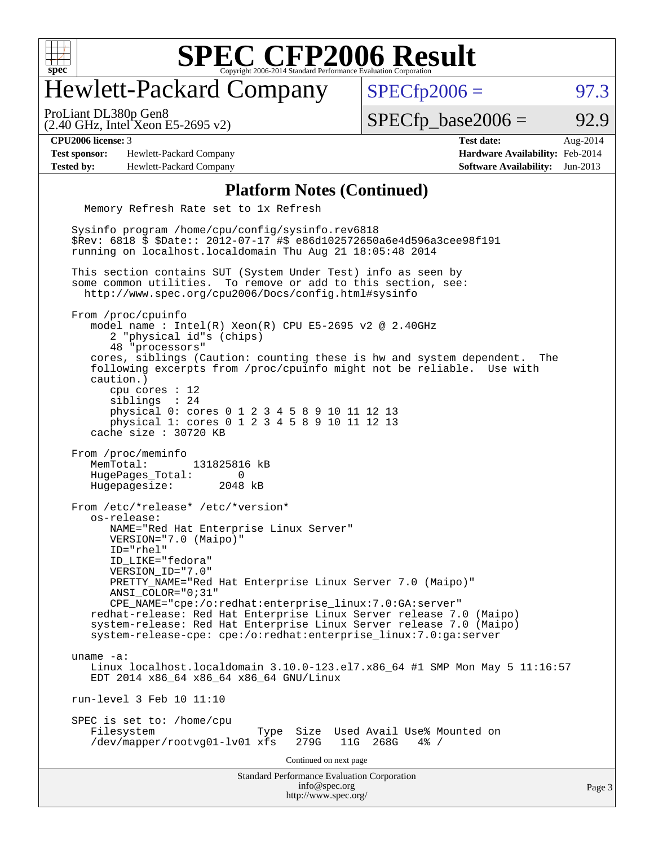

### Hewlett-Packard Company

 $SPECTp2006 = 97.3$ 

(2.40 GHz, Intel Xeon E5-2695 v2) ProLiant DL380p Gen8

 $SPECTp\_base2006 = 92.9$ 

**[Test sponsor:](http://www.spec.org/auto/cpu2006/Docs/result-fields.html#Testsponsor)** Hewlett-Packard Company **[Hardware Availability:](http://www.spec.org/auto/cpu2006/Docs/result-fields.html#HardwareAvailability)** Feb-2014 **[Tested by:](http://www.spec.org/auto/cpu2006/Docs/result-fields.html#Testedby)** Hewlett-Packard Company **[Software Availability:](http://www.spec.org/auto/cpu2006/Docs/result-fields.html#SoftwareAvailability)** Jun-2013

**[CPU2006 license:](http://www.spec.org/auto/cpu2006/Docs/result-fields.html#CPU2006license)** 3 **[Test date:](http://www.spec.org/auto/cpu2006/Docs/result-fields.html#Testdate)** Aug-2014

#### **[Platform Notes \(Continued\)](http://www.spec.org/auto/cpu2006/Docs/result-fields.html#PlatformNotes)**

Memory Refresh Rate set to 1x Refresh

Standard Performance Evaluation Corporation [info@spec.org](mailto:info@spec.org) <http://www.spec.org/> Sysinfo program /home/cpu/config/sysinfo.rev6818 \$Rev: 6818 \$ \$Date:: 2012-07-17 #\$ e86d102572650a6e4d596a3cee98f191 running on localhost.localdomain Thu Aug 21 18:05:48 2014 This section contains SUT (System Under Test) info as seen by some common utilities. To remove or add to this section, see: <http://www.spec.org/cpu2006/Docs/config.html#sysinfo> From /proc/cpuinfo model name : Intel(R) Xeon(R) CPU E5-2695 v2 @ 2.40GHz 2 "physical id"s (chips) 48 "processors" cores, siblings (Caution: counting these is hw and system dependent. The following excerpts from /proc/cpuinfo might not be reliable. Use with caution.) cpu cores : 12 siblings : 24 physical 0: cores 0 1 2 3 4 5 8 9 10 11 12 13 physical 1: cores 0 1 2 3 4 5 8 9 10 11 12 13 cache size : 30720 KB From /proc/meminfo MemTotal: 131825816 kB HugePages\_Total: 0 Hugepagesize: 2048 kB From /etc/\*release\* /etc/\*version\* os-release: NAME="Red Hat Enterprise Linux Server" VERSION="7.0 (Maipo)" ID="rhel" ID\_LIKE="fedora" VERSION\_ID="7.0" PRETTY\_NAME="Red Hat Enterprise Linux Server 7.0 (Maipo)" ANSI\_COLOR="0;31" CPE\_NAME="cpe:/o:redhat:enterprise\_linux:7.0:GA:server" redhat-release: Red Hat Enterprise Linux Server release 7.0 (Maipo) system-release: Red Hat Enterprise Linux Server release 7.0 (Maipo) system-release-cpe: cpe:/o:redhat:enterprise\_linux:7.0:ga:server uname -a: Linux localhost.localdomain 3.10.0-123.el7.x86\_64 #1 SMP Mon May 5 11:16:57 EDT 2014 x86\_64 x86\_64 x86\_64 GNU/Linux run-level 3 Feb 10 11:10 SPEC is set to: /home/cpu<br>Filesystem Type Size Used Avail Use% Mounted on /dev/mapper/rootvg01-lv01 xfs 279G 11G 268G 4% / Continued on next page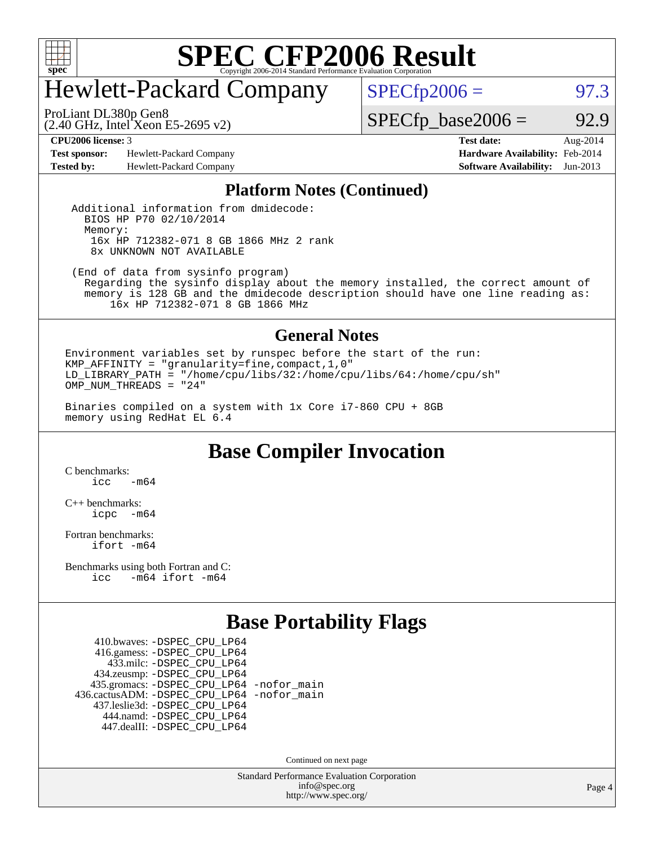

## Hewlett-Packard Company

 $SPECTp2006 = 97.3$ 

ProLiant DL380p Gen8

(2.40 GHz, Intel Xeon E5-2695 v2)

**[Test sponsor:](http://www.spec.org/auto/cpu2006/Docs/result-fields.html#Testsponsor)** Hewlett-Packard Company **[Hardware Availability:](http://www.spec.org/auto/cpu2006/Docs/result-fields.html#HardwareAvailability)** Feb-2014 **[Tested by:](http://www.spec.org/auto/cpu2006/Docs/result-fields.html#Testedby)** Hewlett-Packard Company **[Software Availability:](http://www.spec.org/auto/cpu2006/Docs/result-fields.html#SoftwareAvailability)** Jun-2013

**[CPU2006 license:](http://www.spec.org/auto/cpu2006/Docs/result-fields.html#CPU2006license)** 3 **[Test date:](http://www.spec.org/auto/cpu2006/Docs/result-fields.html#Testdate)** Aug-2014

 $SPECTp\_base2006 = 92.9$ 

#### **[Platform Notes \(Continued\)](http://www.spec.org/auto/cpu2006/Docs/result-fields.html#PlatformNotes)**

 Additional information from dmidecode: BIOS HP P70 02/10/2014 Memory: 16x HP 712382-071 8 GB 1866 MHz 2 rank 8x UNKNOWN NOT AVAILABLE

 (End of data from sysinfo program) Regarding the sysinfo display about the memory installed, the correct amount of memory is 128 GB and the dmidecode description should have one line reading as: 16x HP 712382-071 8 GB 1866 MHz

#### **[General Notes](http://www.spec.org/auto/cpu2006/Docs/result-fields.html#GeneralNotes)**

Environment variables set by runspec before the start of the run: KMP\_AFFINITY = "granularity=fine,compact,1,0" LD\_LIBRARY\_PATH = "/home/cpu/libs/32:/home/cpu/libs/64:/home/cpu/sh" OMP NUM THREADS = "24"

Binaries compiled on a system with 1x Core i7-860 CPU + 8GB memory using RedHat EL 6.4

**[Base Compiler Invocation](http://www.spec.org/auto/cpu2006/Docs/result-fields.html#BaseCompilerInvocation)**

[C benchmarks](http://www.spec.org/auto/cpu2006/Docs/result-fields.html#Cbenchmarks):  $inc$   $-m64$ 

[C++ benchmarks:](http://www.spec.org/auto/cpu2006/Docs/result-fields.html#CXXbenchmarks) [icpc -m64](http://www.spec.org/cpu2006/results/res2014q3/cpu2006-20140825-31021.flags.html#user_CXXbase_intel_icpc_64bit_bedb90c1146cab66620883ef4f41a67e)

[Fortran benchmarks](http://www.spec.org/auto/cpu2006/Docs/result-fields.html#Fortranbenchmarks): [ifort -m64](http://www.spec.org/cpu2006/results/res2014q3/cpu2006-20140825-31021.flags.html#user_FCbase_intel_ifort_64bit_ee9d0fb25645d0210d97eb0527dcc06e)

[Benchmarks using both Fortran and C](http://www.spec.org/auto/cpu2006/Docs/result-fields.html#BenchmarksusingbothFortranandC): [icc -m64](http://www.spec.org/cpu2006/results/res2014q3/cpu2006-20140825-31021.flags.html#user_CC_FCbase_intel_icc_64bit_0b7121f5ab7cfabee23d88897260401c) [ifort -m64](http://www.spec.org/cpu2006/results/res2014q3/cpu2006-20140825-31021.flags.html#user_CC_FCbase_intel_ifort_64bit_ee9d0fb25645d0210d97eb0527dcc06e)

### **[Base Portability Flags](http://www.spec.org/auto/cpu2006/Docs/result-fields.html#BasePortabilityFlags)**

 410.bwaves: [-DSPEC\\_CPU\\_LP64](http://www.spec.org/cpu2006/results/res2014q3/cpu2006-20140825-31021.flags.html#suite_basePORTABILITY410_bwaves_DSPEC_CPU_LP64) 416.gamess: [-DSPEC\\_CPU\\_LP64](http://www.spec.org/cpu2006/results/res2014q3/cpu2006-20140825-31021.flags.html#suite_basePORTABILITY416_gamess_DSPEC_CPU_LP64) 433.milc: [-DSPEC\\_CPU\\_LP64](http://www.spec.org/cpu2006/results/res2014q3/cpu2006-20140825-31021.flags.html#suite_basePORTABILITY433_milc_DSPEC_CPU_LP64) 434.zeusmp: [-DSPEC\\_CPU\\_LP64](http://www.spec.org/cpu2006/results/res2014q3/cpu2006-20140825-31021.flags.html#suite_basePORTABILITY434_zeusmp_DSPEC_CPU_LP64) 435.gromacs: [-DSPEC\\_CPU\\_LP64](http://www.spec.org/cpu2006/results/res2014q3/cpu2006-20140825-31021.flags.html#suite_basePORTABILITY435_gromacs_DSPEC_CPU_LP64) [-nofor\\_main](http://www.spec.org/cpu2006/results/res2014q3/cpu2006-20140825-31021.flags.html#user_baseLDPORTABILITY435_gromacs_f-nofor_main) 436.cactusADM: [-DSPEC\\_CPU\\_LP64](http://www.spec.org/cpu2006/results/res2014q3/cpu2006-20140825-31021.flags.html#suite_basePORTABILITY436_cactusADM_DSPEC_CPU_LP64) [-nofor\\_main](http://www.spec.org/cpu2006/results/res2014q3/cpu2006-20140825-31021.flags.html#user_baseLDPORTABILITY436_cactusADM_f-nofor_main) 437.leslie3d: [-DSPEC\\_CPU\\_LP64](http://www.spec.org/cpu2006/results/res2014q3/cpu2006-20140825-31021.flags.html#suite_basePORTABILITY437_leslie3d_DSPEC_CPU_LP64) 444.namd: [-DSPEC\\_CPU\\_LP64](http://www.spec.org/cpu2006/results/res2014q3/cpu2006-20140825-31021.flags.html#suite_basePORTABILITY444_namd_DSPEC_CPU_LP64) 447.dealII: [-DSPEC\\_CPU\\_LP64](http://www.spec.org/cpu2006/results/res2014q3/cpu2006-20140825-31021.flags.html#suite_basePORTABILITY447_dealII_DSPEC_CPU_LP64)

Continued on next page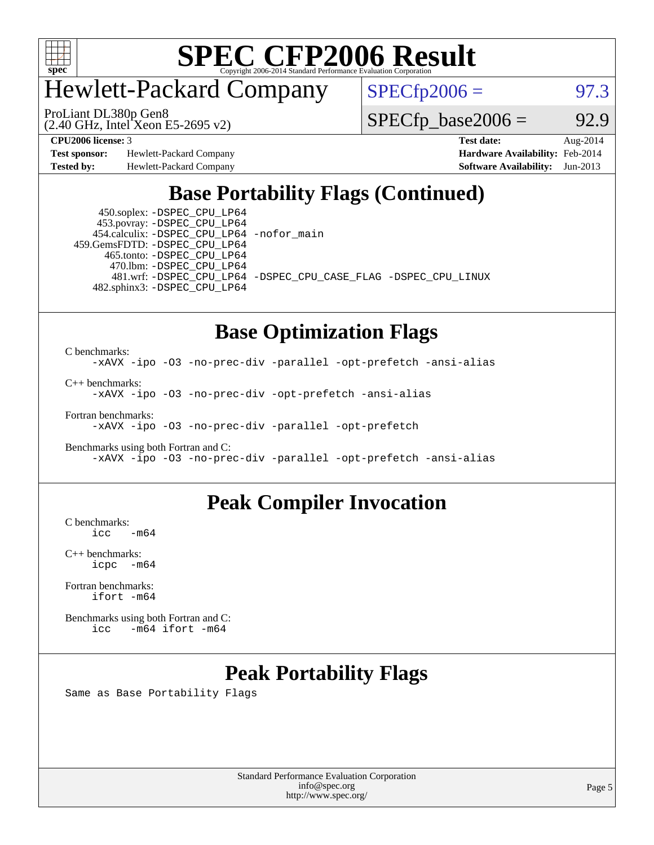

Hewlett-Packard Company

(2.40 GHz, Intel Xeon E5-2695 v2) ProLiant DL380p Gen8

 $SPECTp2006 =$  97.3

 $SPECTp\_base2006 = 92.9$ 

**[Test sponsor:](http://www.spec.org/auto/cpu2006/Docs/result-fields.html#Testsponsor)** Hewlett-Packard Company **[Hardware Availability:](http://www.spec.org/auto/cpu2006/Docs/result-fields.html#HardwareAvailability)** Feb-2014

**[CPU2006 license:](http://www.spec.org/auto/cpu2006/Docs/result-fields.html#CPU2006license)** 3 **[Test date:](http://www.spec.org/auto/cpu2006/Docs/result-fields.html#Testdate)** Aug-2014 **[Tested by:](http://www.spec.org/auto/cpu2006/Docs/result-fields.html#Testedby)** Hewlett-Packard Company **[Software Availability:](http://www.spec.org/auto/cpu2006/Docs/result-fields.html#SoftwareAvailability)** Jun-2013

### **[Base Portability Flags \(Continued\)](http://www.spec.org/auto/cpu2006/Docs/result-fields.html#BasePortabilityFlags)**

 450.soplex: [-DSPEC\\_CPU\\_LP64](http://www.spec.org/cpu2006/results/res2014q3/cpu2006-20140825-31021.flags.html#suite_basePORTABILITY450_soplex_DSPEC_CPU_LP64) 453.povray: [-DSPEC\\_CPU\\_LP64](http://www.spec.org/cpu2006/results/res2014q3/cpu2006-20140825-31021.flags.html#suite_basePORTABILITY453_povray_DSPEC_CPU_LP64) 454.calculix: [-DSPEC\\_CPU\\_LP64](http://www.spec.org/cpu2006/results/res2014q3/cpu2006-20140825-31021.flags.html#suite_basePORTABILITY454_calculix_DSPEC_CPU_LP64) [-nofor\\_main](http://www.spec.org/cpu2006/results/res2014q3/cpu2006-20140825-31021.flags.html#user_baseLDPORTABILITY454_calculix_f-nofor_main) 459.GemsFDTD: [-DSPEC\\_CPU\\_LP64](http://www.spec.org/cpu2006/results/res2014q3/cpu2006-20140825-31021.flags.html#suite_basePORTABILITY459_GemsFDTD_DSPEC_CPU_LP64) 465.tonto: [-DSPEC\\_CPU\\_LP64](http://www.spec.org/cpu2006/results/res2014q3/cpu2006-20140825-31021.flags.html#suite_basePORTABILITY465_tonto_DSPEC_CPU_LP64) 470.lbm: [-DSPEC\\_CPU\\_LP64](http://www.spec.org/cpu2006/results/res2014q3/cpu2006-20140825-31021.flags.html#suite_basePORTABILITY470_lbm_DSPEC_CPU_LP64) 482.sphinx3: [-DSPEC\\_CPU\\_LP64](http://www.spec.org/cpu2006/results/res2014q3/cpu2006-20140825-31021.flags.html#suite_basePORTABILITY482_sphinx3_DSPEC_CPU_LP64)

481.wrf: [-DSPEC\\_CPU\\_LP64](http://www.spec.org/cpu2006/results/res2014q3/cpu2006-20140825-31021.flags.html#suite_basePORTABILITY481_wrf_DSPEC_CPU_LP64) [-DSPEC\\_CPU\\_CASE\\_FLAG](http://www.spec.org/cpu2006/results/res2014q3/cpu2006-20140825-31021.flags.html#b481.wrf_baseCPORTABILITY_DSPEC_CPU_CASE_FLAG) [-DSPEC\\_CPU\\_LINUX](http://www.spec.org/cpu2006/results/res2014q3/cpu2006-20140825-31021.flags.html#b481.wrf_baseCPORTABILITY_DSPEC_CPU_LINUX)

### **[Base Optimization Flags](http://www.spec.org/auto/cpu2006/Docs/result-fields.html#BaseOptimizationFlags)**

[C benchmarks](http://www.spec.org/auto/cpu2006/Docs/result-fields.html#Cbenchmarks): [-xAVX](http://www.spec.org/cpu2006/results/res2014q3/cpu2006-20140825-31021.flags.html#user_CCbase_f-xAVX) [-ipo](http://www.spec.org/cpu2006/results/res2014q3/cpu2006-20140825-31021.flags.html#user_CCbase_f-ipo) [-O3](http://www.spec.org/cpu2006/results/res2014q3/cpu2006-20140825-31021.flags.html#user_CCbase_f-O3) [-no-prec-div](http://www.spec.org/cpu2006/results/res2014q3/cpu2006-20140825-31021.flags.html#user_CCbase_f-no-prec-div) [-parallel](http://www.spec.org/cpu2006/results/res2014q3/cpu2006-20140825-31021.flags.html#user_CCbase_f-parallel) [-opt-prefetch](http://www.spec.org/cpu2006/results/res2014q3/cpu2006-20140825-31021.flags.html#user_CCbase_f-opt-prefetch) [-ansi-alias](http://www.spec.org/cpu2006/results/res2014q3/cpu2006-20140825-31021.flags.html#user_CCbase_f-ansi-alias) [C++ benchmarks:](http://www.spec.org/auto/cpu2006/Docs/result-fields.html#CXXbenchmarks)

[-xAVX](http://www.spec.org/cpu2006/results/res2014q3/cpu2006-20140825-31021.flags.html#user_CXXbase_f-xAVX) [-ipo](http://www.spec.org/cpu2006/results/res2014q3/cpu2006-20140825-31021.flags.html#user_CXXbase_f-ipo) [-O3](http://www.spec.org/cpu2006/results/res2014q3/cpu2006-20140825-31021.flags.html#user_CXXbase_f-O3) [-no-prec-div](http://www.spec.org/cpu2006/results/res2014q3/cpu2006-20140825-31021.flags.html#user_CXXbase_f-no-prec-div) [-opt-prefetch](http://www.spec.org/cpu2006/results/res2014q3/cpu2006-20140825-31021.flags.html#user_CXXbase_f-opt-prefetch) [-ansi-alias](http://www.spec.org/cpu2006/results/res2014q3/cpu2006-20140825-31021.flags.html#user_CXXbase_f-ansi-alias)

[Fortran benchmarks](http://www.spec.org/auto/cpu2006/Docs/result-fields.html#Fortranbenchmarks):

[-xAVX](http://www.spec.org/cpu2006/results/res2014q3/cpu2006-20140825-31021.flags.html#user_FCbase_f-xAVX) [-ipo](http://www.spec.org/cpu2006/results/res2014q3/cpu2006-20140825-31021.flags.html#user_FCbase_f-ipo) [-O3](http://www.spec.org/cpu2006/results/res2014q3/cpu2006-20140825-31021.flags.html#user_FCbase_f-O3) [-no-prec-div](http://www.spec.org/cpu2006/results/res2014q3/cpu2006-20140825-31021.flags.html#user_FCbase_f-no-prec-div) [-parallel](http://www.spec.org/cpu2006/results/res2014q3/cpu2006-20140825-31021.flags.html#user_FCbase_f-parallel) [-opt-prefetch](http://www.spec.org/cpu2006/results/res2014q3/cpu2006-20140825-31021.flags.html#user_FCbase_f-opt-prefetch)

[Benchmarks using both Fortran and C](http://www.spec.org/auto/cpu2006/Docs/result-fields.html#BenchmarksusingbothFortranandC): [-xAVX](http://www.spec.org/cpu2006/results/res2014q3/cpu2006-20140825-31021.flags.html#user_CC_FCbase_f-xAVX) [-ipo](http://www.spec.org/cpu2006/results/res2014q3/cpu2006-20140825-31021.flags.html#user_CC_FCbase_f-ipo) [-O3](http://www.spec.org/cpu2006/results/res2014q3/cpu2006-20140825-31021.flags.html#user_CC_FCbase_f-O3) [-no-prec-div](http://www.spec.org/cpu2006/results/res2014q3/cpu2006-20140825-31021.flags.html#user_CC_FCbase_f-no-prec-div) [-parallel](http://www.spec.org/cpu2006/results/res2014q3/cpu2006-20140825-31021.flags.html#user_CC_FCbase_f-parallel) [-opt-prefetch](http://www.spec.org/cpu2006/results/res2014q3/cpu2006-20140825-31021.flags.html#user_CC_FCbase_f-opt-prefetch) [-ansi-alias](http://www.spec.org/cpu2006/results/res2014q3/cpu2006-20140825-31021.flags.html#user_CC_FCbase_f-ansi-alias)

### **[Peak Compiler Invocation](http://www.spec.org/auto/cpu2006/Docs/result-fields.html#PeakCompilerInvocation)**

 $C$  benchmarks:<br>icc  $-m64$ 

[C++ benchmarks:](http://www.spec.org/auto/cpu2006/Docs/result-fields.html#CXXbenchmarks) [icpc -m64](http://www.spec.org/cpu2006/results/res2014q3/cpu2006-20140825-31021.flags.html#user_CXXpeak_intel_icpc_64bit_bedb90c1146cab66620883ef4f41a67e)

[Fortran benchmarks](http://www.spec.org/auto/cpu2006/Docs/result-fields.html#Fortranbenchmarks): [ifort -m64](http://www.spec.org/cpu2006/results/res2014q3/cpu2006-20140825-31021.flags.html#user_FCpeak_intel_ifort_64bit_ee9d0fb25645d0210d97eb0527dcc06e)

[Benchmarks using both Fortran and C](http://www.spec.org/auto/cpu2006/Docs/result-fields.html#BenchmarksusingbothFortranandC): [icc -m64](http://www.spec.org/cpu2006/results/res2014q3/cpu2006-20140825-31021.flags.html#user_CC_FCpeak_intel_icc_64bit_0b7121f5ab7cfabee23d88897260401c) [ifort -m64](http://www.spec.org/cpu2006/results/res2014q3/cpu2006-20140825-31021.flags.html#user_CC_FCpeak_intel_ifort_64bit_ee9d0fb25645d0210d97eb0527dcc06e)

### **[Peak Portability Flags](http://www.spec.org/auto/cpu2006/Docs/result-fields.html#PeakPortabilityFlags)**

Same as Base Portability Flags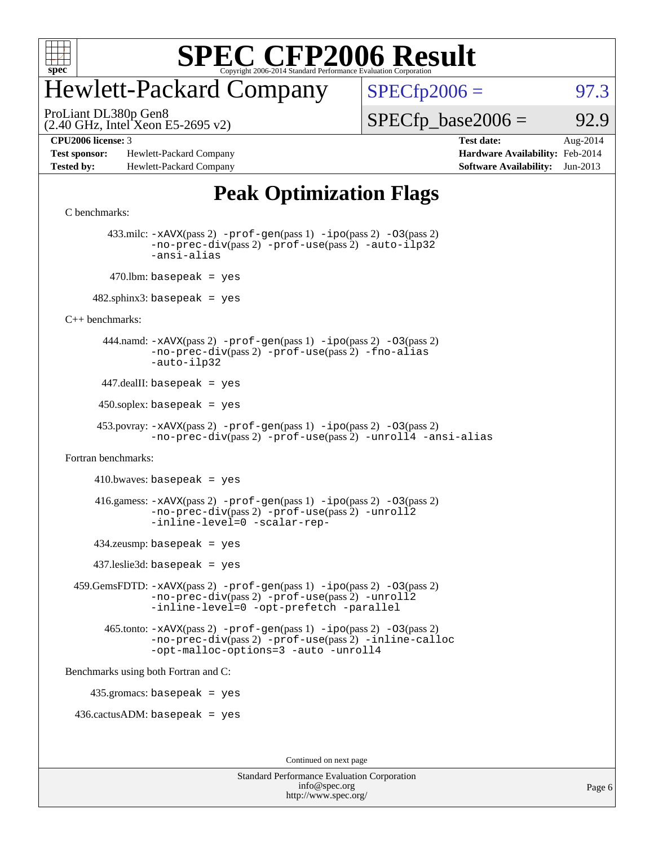

### Hewlett-Packard Company

 $SPECfp2006 = 97.3$  $SPECfp2006 = 97.3$ 

(2.40 GHz, Intel Xeon E5-2695 v2) ProLiant DL380p Gen8

 $SPECTp\_base2006 = 92.9$ 

**[Test sponsor:](http://www.spec.org/auto/cpu2006/Docs/result-fields.html#Testsponsor)** Hewlett-Packard Company **[Hardware Availability:](http://www.spec.org/auto/cpu2006/Docs/result-fields.html#HardwareAvailability)** Feb-2014 **[Tested by:](http://www.spec.org/auto/cpu2006/Docs/result-fields.html#Testedby)** Hewlett-Packard Company **[Software Availability:](http://www.spec.org/auto/cpu2006/Docs/result-fields.html#SoftwareAvailability)** Jun-2013

**[CPU2006 license:](http://www.spec.org/auto/cpu2006/Docs/result-fields.html#CPU2006license)** 3 **[Test date:](http://www.spec.org/auto/cpu2006/Docs/result-fields.html#Testdate)** Aug-2014

### **[Peak Optimization Flags](http://www.spec.org/auto/cpu2006/Docs/result-fields.html#PeakOptimizationFlags)**

```
C benchmarks:
```

```
 433.milc: -xAVX(pass 2) -prof-gen(pass 1) -ipo(pass 2) -O3(pass 2)
                -no-prec-div(pass 2) -prof-use(pass 2) -auto-ilp32
                -ansi-alias
        470.lbm: basepeak = yes
     482.sphinx3: basepeak = yes
C++ benchmarks: 
       444.namd: -xAVX(pass 2) -prof-gen(pass 1) -ppo(pass 2) -03(pass 2)
                -no-prec-div(pass 2) -prof-use(pass 2) -fno-alias
                -auto-ilp32
      447.dealII: basepeak = yes
      450.soplex: basepeak = yes
       453.povray: -xAVX(pass 2) -prof-gen(pass 1) -ipo(pass 2) -O3(pass 2)
                -no-prec-div(pass 2) -prof-use(pass 2) -unroll4 -ansi-alias
Fortran benchmarks: 
     410.bwaves: basepeak = yes416.gamess: -xAVX(pass 2) -prof-gen(pass 1) -ipo(pass 2) -O3(pass 2)
                -no-prec-div(pass 2) -prof-use(pass 2) -unroll2
                -inline-level=0 -scalar-rep-
      434.zeusmp: basepeak = yes
      437.leslie3d: basepeak = yes
  459.GemsFDTD: -xAVX(pass 2) -prof-gen(pass 1) -ipo(pass 2) -O3(pass 2)
                -no-prec-div(pass 2) -prof-use(pass 2) -unroll2
                -inline-level=0 -opt-prefetch -parallel
       465.tonto: -xAVX(pass 2) -prof-gen(pass 1) -pipo(pass 2) -03(pass 2)
                -no-prec-div(pass 2) -prof-use(pass 2) -inline-calloc
                -opt-malloc-options=3-auto-unroll4
Benchmarks using both Fortran and C: 
     435.gromacs: basepeak = yes
  436.cactusADM: basepeak = yes
                                         Continued on next page
```